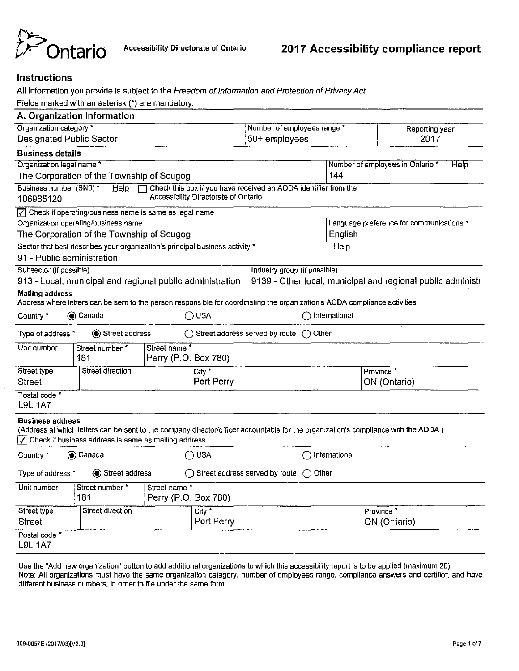

# **Instructions**

All information you provide is subject to the Freedom of Information and Protection of Privacy Act.

Fields marked with an asterisk (\*) are mandatory.

|                                            | A. Organization information                                                                                                 |                                      |                                      |                                                                 |                      |                                                                                                                                     |
|--------------------------------------------|-----------------------------------------------------------------------------------------------------------------------------|--------------------------------------|--------------------------------------|-----------------------------------------------------------------|----------------------|-------------------------------------------------------------------------------------------------------------------------------------|
| Organization category *                    |                                                                                                                             |                                      |                                      | Number of employees range *                                     |                      | Reporting year                                                                                                                      |
| <b>Designated Public Sector</b>            |                                                                                                                             |                                      |                                      | $50+$ employees                                                 |                      | 2017                                                                                                                                |
| <b>Business details</b>                    |                                                                                                                             |                                      |                                      |                                                                 |                      |                                                                                                                                     |
| Organization legal name *                  |                                                                                                                             |                                      |                                      |                                                                 |                      | Number of employees in Ontario *<br>Help                                                                                            |
|                                            | The Corporation of the Township of Scugog                                                                                   |                                      |                                      |                                                                 | 144                  |                                                                                                                                     |
| Business number (BN9) *<br>106985120       | $He$ <sub>lp</sub><br>$\Box$                                                                                                |                                      | Accessibility Directorate of Ontario | Check this box if you have received an AODA identifier from the |                      |                                                                                                                                     |
|                                            | $\sqrt{7}$ Check if operating/business name is same as legal name                                                           |                                      |                                      |                                                                 |                      |                                                                                                                                     |
|                                            | Organization operating/business name                                                                                        |                                      |                                      |                                                                 |                      | Language preference for communications *                                                                                            |
|                                            | The Corporation of the Township of Scugog                                                                                   |                                      |                                      |                                                                 | English              |                                                                                                                                     |
|                                            | Sector that best describes your organization's principal business activity *                                                |                                      |                                      |                                                                 | Help                 |                                                                                                                                     |
| 91 - Public administration                 |                                                                                                                             |                                      |                                      |                                                                 |                      |                                                                                                                                     |
| Subsector (if possible)                    |                                                                                                                             |                                      |                                      | Industry group (if possible)                                    |                      |                                                                                                                                     |
|                                            | 913 - Local, municipal and regional public administration                                                                   |                                      |                                      |                                                                 |                      | 9139 - Other local, municipal and regional public administr                                                                         |
| <b>Mailing address</b>                     | Address where letters can be sent to the person responsible for coordinating the organization's AODA compliance activities. |                                      |                                      |                                                                 |                      |                                                                                                                                     |
| Country*                                   | (●) Canada                                                                                                                  |                                      | ∩ USA                                |                                                                 | ◯ International      |                                                                                                                                     |
| Type of address *                          | <b>●</b> Street address                                                                                                     |                                      | ◯ Street address served by route     |                                                                 | $\bigcap$ Other      |                                                                                                                                     |
| Unit number                                | Street number *<br>181                                                                                                      | Street name*<br>Perry (P.O. Box 780) |                                      |                                                                 |                      |                                                                                                                                     |
| Street type                                | Street direction                                                                                                            |                                      | City $*$                             |                                                                 |                      | Province <sup>*</sup>                                                                                                               |
| <b>Street</b>                              |                                                                                                                             |                                      | Port Perry                           |                                                                 |                      | ON (Ontario)                                                                                                                        |
| Postal code <sup>*</sup><br><b>L9L 1A7</b> |                                                                                                                             |                                      |                                      |                                                                 |                      |                                                                                                                                     |
| <b>Business address</b>                    | $\sqrt{\phantom{a}}$ Check if business address is same as mailing address                                                   |                                      |                                      |                                                                 |                      | (Address at which letters can be sent to the company director/officer accountable for the organization's compliance with the AODA.) |
| Country *                                  | Canada                                                                                                                      |                                      | ∩ USA                                |                                                                 | International<br>( ) |                                                                                                                                     |
| Type of address *                          | (●) Street address                                                                                                          |                                      | ◯ Street address served by route     |                                                                 | $\bigcap$ Other      |                                                                                                                                     |
| Unit number                                | Street number *<br>181                                                                                                      | Street name*<br>Perry (P.O. Box 780) |                                      |                                                                 |                      |                                                                                                                                     |
| Street type                                | <b>Street direction</b>                                                                                                     |                                      | $City^*$                             |                                                                 |                      | Province <sup>*</sup>                                                                                                               |
| <b>Street</b>                              |                                                                                                                             |                                      | Port Perry                           |                                                                 |                      | ON (Ontario)                                                                                                                        |
| Postal code <sup>*</sup><br><b>L9L 1A7</b> |                                                                                                                             |                                      |                                      |                                                                 |                      |                                                                                                                                     |

Use the "Add new organization" button to add additional organizations to which this accessibility report is to be applied (maximum 20). Note: All organizations must have the same organization category, number of employees range, compliance answers and certifier, and have different business numbers, in order to file under the same form.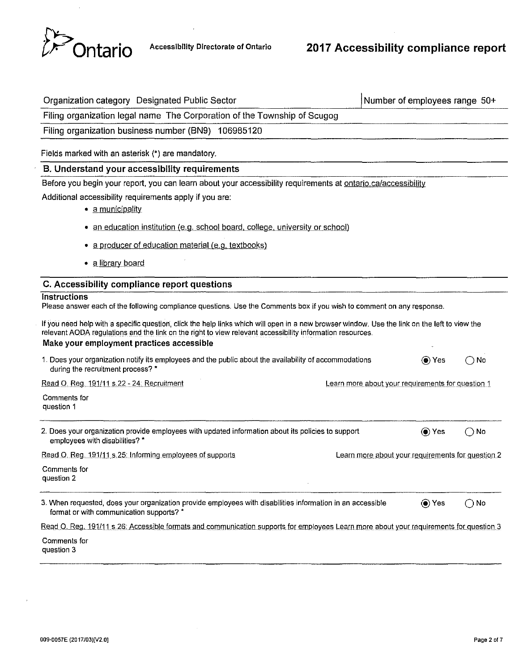

| Organization category Designated Public Sector                                                                                                                                                                                                                                                          | Number of employees range 50+                     |               |
|---------------------------------------------------------------------------------------------------------------------------------------------------------------------------------------------------------------------------------------------------------------------------------------------------------|---------------------------------------------------|---------------|
| Filing organization legal name The Corporation of the Township of Scugog                                                                                                                                                                                                                                |                                                   |               |
| Filing organization business number (BN9) 106985120                                                                                                                                                                                                                                                     |                                                   |               |
| Fields marked with an asterisk (*) are mandatory.                                                                                                                                                                                                                                                       |                                                   |               |
| B. Understand your accessibility requirements                                                                                                                                                                                                                                                           |                                                   |               |
| Before you begin your report, you can learn about your accessibility requirements at ontario.ca/accessibility                                                                                                                                                                                           |                                                   |               |
| Additional accessibility requirements apply if you are:<br>· a municipality                                                                                                                                                                                                                             |                                                   |               |
| • an education institution (e.g. school board, college, university or school)                                                                                                                                                                                                                           |                                                   |               |
| • a producer of education material (e.g. textbooks)                                                                                                                                                                                                                                                     |                                                   |               |
| • a library board                                                                                                                                                                                                                                                                                       |                                                   |               |
| C. Accessibility compliance report questions                                                                                                                                                                                                                                                            |                                                   |               |
| <b>Instructions</b><br>Please answer each of the following compliance questions. Use the Comments box if you wish to comment on any response.                                                                                                                                                           |                                                   |               |
| If you need help with a specific question, click the help links which will open in a new browser window. Use the link on the left to view the<br>relevant AODA regulations and the link on the right to view relevant accessibility information resources.<br>Make your employment practices accessible |                                                   |               |
| 1. Does your organization notify its employees and the public about the availability of accommodations<br>during the recruitment process? *                                                                                                                                                             | (●) Yes                                           | $\bigcirc$ No |
| Read O. Reg. 191/11 s.22 - 24: Recruitment                                                                                                                                                                                                                                                              | Learn more about your requirements for question 1 |               |
| Comments for<br>question 1                                                                                                                                                                                                                                                                              |                                                   |               |
| 2. Does your organization provide employees with updated information about its policies to support<br>employees with disabilities? *                                                                                                                                                                    | (● Yes                                            | $\bigcap$ No  |
| Read O. Reg. 191/11 s.25: Informing employees of supports                                                                                                                                                                                                                                               | Learn more about your requirements for question 2 |               |
| Comments for<br>question 2                                                                                                                                                                                                                                                                              |                                                   |               |
| 3. When requested, does your organization provide employees with disabilities information in an accessible<br>format or with communication supports? *                                                                                                                                                  | ◉ Yes                                             | $\bigcirc$ No |
| Read O. Reg. 191/11 s.26: Accessible formats and communication supports for employees Learn more about your requirements for question 3                                                                                                                                                                 |                                                   |               |
| Comments for<br>question 3                                                                                                                                                                                                                                                                              |                                                   |               |

 $\epsilon$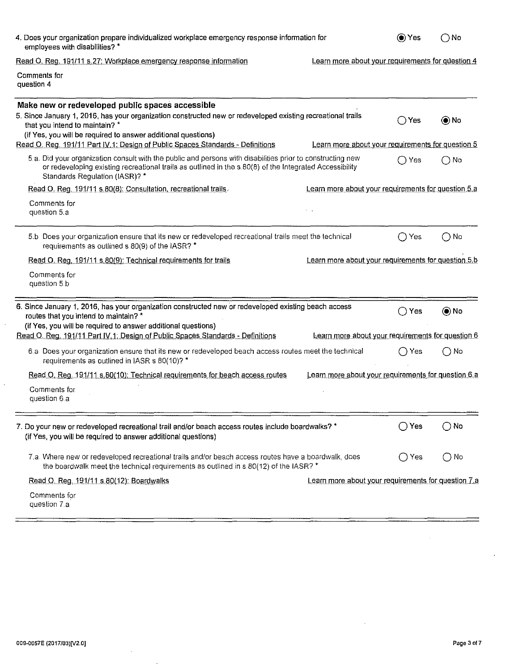| 4. Does your organization prepare individualized workplace emergency response information for<br>employees with disabilities? *                                                                                                                                    | (● Yes        | ∩ No          |
|--------------------------------------------------------------------------------------------------------------------------------------------------------------------------------------------------------------------------------------------------------------------|---------------|---------------|
| Read O. Reg. 191/11 s.27: Workplace emergency response information<br>Learn more about your requirements for question 4                                                                                                                                            |               |               |
| Comments for<br>question 4                                                                                                                                                                                                                                         |               |               |
| Make new or redeveloped public spaces accessible<br>5. Since January 1, 2016, has your organization constructed new or redeveloped existing recreational trails<br>that you intend to maintain? *<br>(if Yes, you will be required to answer additional questions) | ( ) Yes       | () No         |
| Read O. Reg. 191/11 Part IV.1: Design of Public Spaces Standards - Definitions<br>Learn more about your requirements for question 5                                                                                                                                |               |               |
| 5.a. Did your organization consult with the public and persons with disabilities prior to constructing new<br>or redeveloping existing recreational trails as outlined in the s.80(8) of the Integrated Accessibility<br>Standards Regulation (IASR)? *            | ( ) Yes       | ∩No           |
| Read O. Reg. 191/11 s.80(8): Consultation, recreational trails.<br>Learn more about your requirements for question 5.a                                                                                                                                             |               |               |
| Comments for<br>question 5.a                                                                                                                                                                                                                                       |               |               |
| 5.b. Does your organization ensure that its new or redeveloped recreational trails meet the technical<br>requirements as outlined s.80(9) of the IASR? *                                                                                                           | Yes           | $\bigcirc$ No |
| Read O. Reg. 191/11 s.80(9): Technical requirements for trails<br>Learn more about your requirements for question 5.b                                                                                                                                              |               |               |
| Comments for<br>question 5.b                                                                                                                                                                                                                                       |               |               |
| 6. Since January 1, 2016, has your organization constructed new or redeveloped existing beach access<br>routes that you intend to maintain? *<br>(if Yes, you will be required to answer additional questions)                                                     | $\supset$ Yes | $\odot$ No    |
| Read O. Reg. 191/11 Part IV.1: Design of Public Spaces Standards - Definitions<br>Learn more about your requirements for question 6                                                                                                                                |               |               |
| 6.a. Does your organization ensure that its new or redeveloped beach access routes meet the technical<br>requirements as outlined in IASR s 80(10)? *                                                                                                              | Yes           | $\bigcap$ No  |
| Read O. Reg. 191/11 s.80(10): Technical requirements for beach access routes<br>Learn more about your requirements for question 6.a                                                                                                                                |               |               |
| Comments for<br>question 6.a                                                                                                                                                                                                                                       |               |               |
| 7. Do your new or redeveloped recreational trail and/or beach access routes include boardwalks? *<br>(if Yes, you will be required to answer additional questions)                                                                                                 | ( ) Yes       | $\bigcap$ No  |
| 7.a. Where new or redeveloped recreational trails and/or beach access routes have a boardwalk, does<br>the boardwalk meet the technical requirements as outlined in s.80(12) of the IASR? *                                                                        | ( ) Yes       | $\bigcirc$ No |
| Learn more about your requirements for question 7 a<br>Read O. Reg. 191/11 s.80(12): Boardwalks                                                                                                                                                                    |               |               |
| Comments for<br>question 7.a                                                                                                                                                                                                                                       |               |               |

 $\downarrow$ 

 $\hat{\mathcal{S}}$ 

 $\overline{\phantom{a}}$ 

 $\sim 10^7$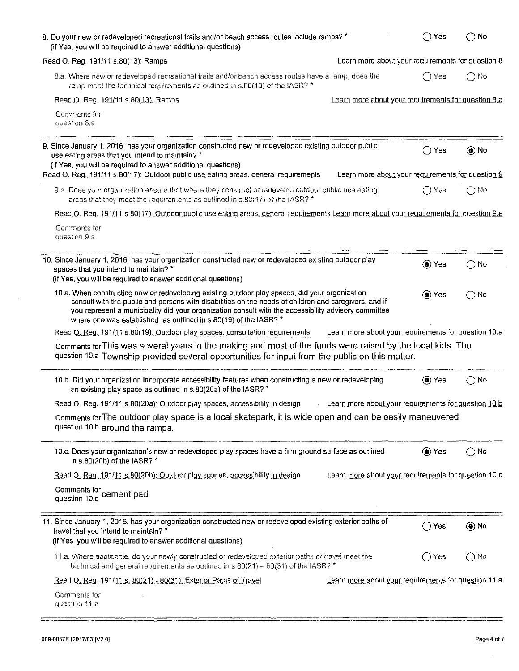| 8. Do your new or redeveloped recreational trails and/or beach access routes include ramps? *<br>(if Yes, you will be required to answer additional questions)                                                                                                                                                                                                                       |                                                      | $\bigcap$ Yes | $\bigcirc$ No       |
|--------------------------------------------------------------------------------------------------------------------------------------------------------------------------------------------------------------------------------------------------------------------------------------------------------------------------------------------------------------------------------------|------------------------------------------------------|---------------|---------------------|
| Read O. Reg. 191/11 s.80(13): Ramps                                                                                                                                                                                                                                                                                                                                                  | Learn more about your requirements for question 8    |               |                     |
| 8.a. Where new or redeveloped recreational trails and/or beach access routes have a ramp, does the<br>ramp meet the technical requirements as outlined in s.80(13) of the IASR? *                                                                                                                                                                                                    |                                                      | i Yes         | $\bigcap$ No        |
| Read O. Reg. 191/11 s.80(13): Ramps                                                                                                                                                                                                                                                                                                                                                  | Learn more about your requirements for question 8.a  |               |                     |
| Comments for<br>question 8.a                                                                                                                                                                                                                                                                                                                                                         |                                                      |               |                     |
| 9. Since January 1, 2016, has your organization constructed new or redeveloped existing outdoor public<br>use eating areas that you intend to maintain? *<br>(if Yes, you will be required to answer additional questions)<br>Read O. Reg. 191/11 s.80(17): Outdoor public use eating areas, general requirements                                                                    | Learn more about your requirements for question 9    | ( ) Yes       | $\circledbullet$ No |
| 9.a. Does your organization ensure that where they construct or redevelop outdoor public use eating<br>areas that they meet the requirements as outlined in s.80(17) of the IASR? *                                                                                                                                                                                                  |                                                      | $\bigcap$ Yes | ∩No                 |
| Read O. Reg. 191/11 s.80(17): Outdoor public use eating areas, general requirements Learn more about your requirements for question 9.a                                                                                                                                                                                                                                              |                                                      |               |                     |
| Comments for<br>question 9.a                                                                                                                                                                                                                                                                                                                                                         |                                                      |               |                     |
| 10. Since January 1, 2016, has your organization constructed new or redeveloped existing outdoor play<br>spaces that you intend to maintain? *<br>(if Yes, you will be required to answer additional questions)                                                                                                                                                                      |                                                      | O Yes         | $\bigcirc$ No       |
| 10.a. When constructing new or redeveloping existing outdoor play spaces, did your organization<br>consult with the public and persons with disabilities on the needs of children and caregivers, and if<br>you represent a municipality did your organization consult with the accessibility advisory committee<br>where one was established as outlined in s.80(19) of the IASR? * |                                                      | () Yes        | $\bigcap$ No        |
| Read O. Reg. 191/11 s.80(19); Outdoor play spaces, consultation requirements                                                                                                                                                                                                                                                                                                         | Learn more about your requirements for question 10 a |               |                     |
| Comments for This was several years in the making and most of the funds were raised by the local kids. The<br>question 10.a Township provided several opportunities for input from the public on this matter.                                                                                                                                                                        |                                                      |               |                     |
| 10.b. Did your organization incorporate accessibility features when constructing a new or redeveloping<br>an existing play space as outlined in s.80(20a) of the IASR? *                                                                                                                                                                                                             |                                                      | (●) Yes       | $\bigcap$ No        |
| Read O. Reg. 191/11 s.80(20a): Outdoor play spaces, accessibility in design                                                                                                                                                                                                                                                                                                          | Learn more about your requirements for question 10.b |               |                     |
| Comments for The outdoor play space is a local skatepark, it is wide open and can be easily maneuvered<br>question 10.b around the ramps.                                                                                                                                                                                                                                            |                                                      |               |                     |
| 10.c. Does your organization's new or redeveloped play spaces have a firm ground surface as outlined<br>in s.80(20b) of the IASR? *                                                                                                                                                                                                                                                  |                                                      | (● Yes        | $\bigcirc$ No       |
| Read O. Reg. 191/11 s.80(20b): Outdoor play spaces, accessibility in design                                                                                                                                                                                                                                                                                                          | Learn more about your requirements for question 10.c |               |                     |
| Comments for cement pad                                                                                                                                                                                                                                                                                                                                                              |                                                      |               |                     |
| 11. Since January 1, 2016, has your organization constructed new or redeveloped existing exterior paths of<br>travel that you intend to maintain? *<br>(if Yes, you will be required to answer additional questions)                                                                                                                                                                 |                                                      | Yes<br>()     | $\circledcirc$ No   |
| 11.a. Where applicable, do your newly constructed or redeveloped exterior paths of travel meet the<br>technical and general requirements as outlined in $s.80(21) - 80(31)$ of the IASR?                                                                                                                                                                                             |                                                      | ∣Yes<br>()    | $\bigcap$ Na        |
| Read O. Reg. 191/11 s. 80(21) - 80(31): Exterior Paths of Travel                                                                                                                                                                                                                                                                                                                     | Learn more about your requirements for question 11.a |               |                     |
| Comments for<br>question 11.a                                                                                                                                                                                                                                                                                                                                                        |                                                      |               |                     |

 $\bar{z}$ 

÷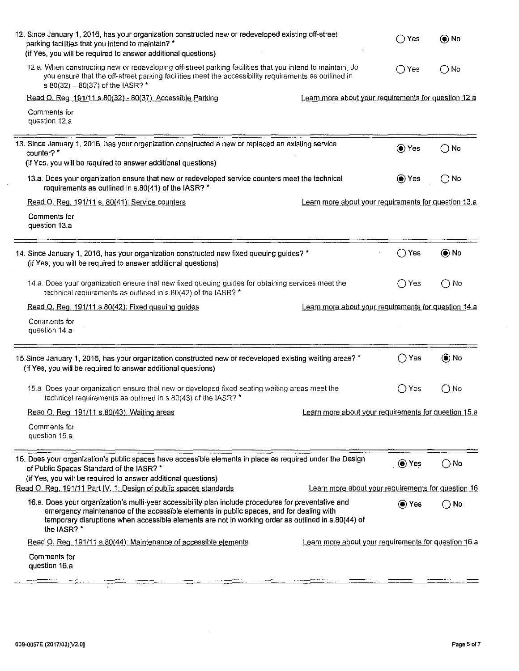| 12. Since January 1, 2016, has your organization constructed new or redeveloped existing off-street<br>parking facilities that you intend to maintain? *<br>(if Yes, you will be required to answer additional questions)                                                                                                                         | Yes                                                | () No         |
|---------------------------------------------------------------------------------------------------------------------------------------------------------------------------------------------------------------------------------------------------------------------------------------------------------------------------------------------------|----------------------------------------------------|---------------|
| 12.a. When constructing new or redeveloping off-street parking facilities that you intend to maintain, do<br>you ensure that the off-street parking facilities meet the accessibility requirements as outlined in<br>s.80(32) - 80(37) of the IASR? *                                                                                             | $\bigcap$ Yes                                      | () No         |
| Read O. Reg. 191/11 s.80(32) - 80(37): Accessible Parking<br>Learn more about your requirements for question 12.a                                                                                                                                                                                                                                 |                                                    |               |
| Comments for<br>question 12.a                                                                                                                                                                                                                                                                                                                     |                                                    |               |
| 13. Since January 1, 2016, has your organization constructed a new or replaced an existing service<br>counter? *<br>(if Yes, you will be required to answer additional questions)                                                                                                                                                                 | ◉ Yes                                              | $\bigcirc$ No |
| 13.a. Does your organization ensure that new or redeveloped service counters meet the technical<br>requirements as outlined in s.80(41) of the IASR? *                                                                                                                                                                                            | ◉ Yes                                              | $\bigcirc$ No |
| Read O. Reg. 191/11 s. 80(41): Service counters<br>Learn more about your requirements for question 13.a                                                                                                                                                                                                                                           |                                                    |               |
| Comments for<br>question 13.a                                                                                                                                                                                                                                                                                                                     |                                                    |               |
| 14. Since January 1, 2016, has your organization constructed new fixed queuing guides? *<br>(if Yes, you will be required to answer additional questions)                                                                                                                                                                                         | Yes<br>$\left(\begin{array}{c} \end{array}\right)$ | $\odot$ No    |
| 14.a. Does your organization ensure that new fixed queuing guides for obtaining services meet the<br>technical requirements as outlined in s.80(42) of the IASR? *                                                                                                                                                                                | ◯ Yes                                              | $\bigcirc$ No |
| Read O. Reg. 191/11 s.80(42): Fixed queuing guides<br>Learn more about your requirements for question 14.a                                                                                                                                                                                                                                        |                                                    |               |
| Comments for<br>question 14 a                                                                                                                                                                                                                                                                                                                     |                                                    |               |
| 15. Since January 1, 2016, has your organization constructed new or redeveloped existing waiting areas? *<br>(if Yes, you will be required to answer additional questions)                                                                                                                                                                        | $\bigcap$ Yes                                      | $\odot$ No    |
| 15.a. Does your organization ensure that new or developed fixed seating waiting areas meet the<br>technical requirements as outlined in s.80(43) of the IASR? *                                                                                                                                                                                   | Yes<br>- 1                                         | ( ) No        |
| Read O. Reg. 191/11 s.80(43); Waiting areas<br>Learn more about your requirements for question 15.a                                                                                                                                                                                                                                               |                                                    |               |
| Comments for<br>question 15.a                                                                                                                                                                                                                                                                                                                     |                                                    |               |
| 16. Does your organization's public spaces have accessible elements in place as required under the Design<br>of Public Spaces Standard of the IASR? *<br>(if Yes, you will be required to answer additional questions)<br>Read Q. Reg. 191/11 Part IV. 1: Design of public spaces standards<br>Learn more about your requirements for question 16 | ies Yes                                            | $\bigcirc$ No |
| 16.a. Does your organization's multi-year accessibility plan include procedures for preventative and<br>emergency maintenance of the accessible elements in public spaces, and for dealing with<br>temporary disruptions when accessible elements are not in working order as outlined in s.80(44) of<br>the IASR? *                              | $\odot$ Yes                                        | $\bigcirc$ No |
| Read O. Reg. 191/11 s.80(44). Maintenance of accessible elements<br>Learn more about your requirements for question 16.a                                                                                                                                                                                                                          |                                                    |               |
| Comments for<br>question 16 a                                                                                                                                                                                                                                                                                                                     |                                                    |               |

 $\lambda$ 

 $\hat{\mathcal{A}}$ 

-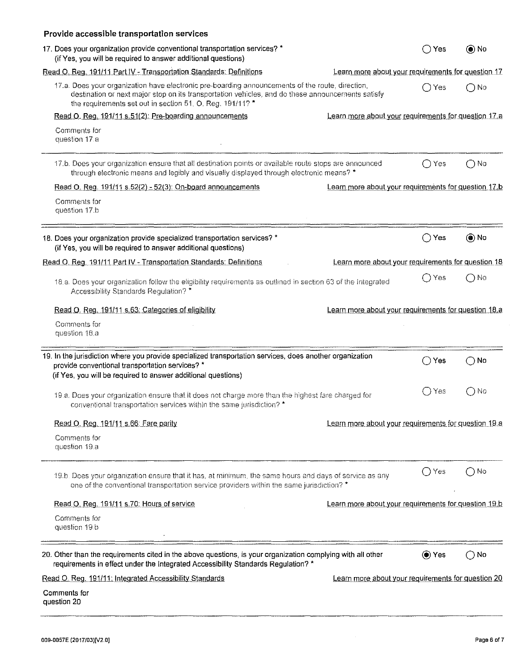| Provide accessible transportation services                                                                                                                                                                                                                         |                                                      |                      |                     |
|--------------------------------------------------------------------------------------------------------------------------------------------------------------------------------------------------------------------------------------------------------------------|------------------------------------------------------|----------------------|---------------------|
| 17. Does your organization provide conventional transportation services? *<br>(if Yes, you will be required to answer additional questions)                                                                                                                        |                                                      | Yes                  | $\circledbullet$ No |
| Read O. Reg. 191/11 Part IV - Transportation Standards: Definitions                                                                                                                                                                                                | Learn more about your requirements for question 17   |                      |                     |
| 17.a. Does your organization have electronic pre-boarding announcements of the route, direction,<br>destination or next major stop on its transportation vehicles, and do these announcements satisfy<br>the requirements set out in section 51, O, Reg. 191/11? * |                                                      | ∩ Yes                | ∩ No                |
| Read O. Reg. 191/11 s.51(2): Pre-boarding announcements                                                                                                                                                                                                            | Learn more about your requirements for question 17.a |                      |                     |
| Comments for<br>question 17.a                                                                                                                                                                                                                                      |                                                      |                      |                     |
| 17.b. Does your organization ensure that all destination points or available route stops are announced<br>through electronic means and legibly and visually displayed through electronic means? *                                                                  |                                                      | ∩ Yes                | $\bigcap$ No        |
| Read O. Reg. 191/11 s.52(2) - 52(3): On-board announcements                                                                                                                                                                                                        | Learn more about your requirements for question 17.b |                      |                     |
| Comments for<br>question 17.b                                                                                                                                                                                                                                      |                                                      |                      |                     |
| 18. Does your organization provide specialized transportation services? *<br>(if Yes, you will be required to answer additional questions)                                                                                                                         |                                                      | ◯ Yes                | $\circledcirc$ No   |
| Read O. Reg. 191/11 Part IV - Transportation Standards: Definitions                                                                                                                                                                                                | Learn more about your requirements for question 18   |                      |                     |
| 18.a. Does your organization follow the eligibility requirements as outlined in section 63 of the Integrated<br>Accessibility Standards Regulation? *                                                                                                              |                                                      | Yes                  | ∩No                 |
| Read O. Reg. 191/11 s.63: Categories of eligibility                                                                                                                                                                                                                | Learn more about your requirements for question 18.a |                      |                     |
| Comments for<br>question 18,a                                                                                                                                                                                                                                      |                                                      |                      |                     |
| 19. In the jurisdiction where you provide specialized transportation services, does another organization<br>provide conventional transportation services? *<br>(if Yes, you will be required to answer additional questions)                                       |                                                      | $\bigcap$ Yes        | $\bigcirc$ No       |
| 19.a. Does your organization ensure that it does not charge more than the highest fare charged for<br>conventional transportation services within the same jurisdiction? *                                                                                         |                                                      | Yes<br>$\rightarrow$ | () No               |
| Read O. Reg. 191/11 s 66: Fare parity                                                                                                                                                                                                                              | Learn more about your requirements for question 19.a |                      |                     |
| Comments for<br>question 19.a                                                                                                                                                                                                                                      |                                                      |                      |                     |
| 19.b. Does your organization ensure that it has, at minimum, the same hours and days of service as any<br>one of the conventional transportation service providers within the same jurisdiction? *                                                                 |                                                      | $\bigcap$ Yes        | ∩No                 |
| Read O. Reg. 191/11 s.70: Hours of service                                                                                                                                                                                                                         | Learn more about your requirements for question 19.b |                      |                     |
| Comments for<br>question 19.b                                                                                                                                                                                                                                      |                                                      |                      |                     |
| 20. Other than the requirements cited in the above questions, is your organization complying with all other<br>requirements in effect under the Integrated Accessibility Standards Regulation? *                                                                   |                                                      | ⊙ Yes                | $\bigcirc$ No       |
| Read O. Reg. 191/11: Integrated Accessibility Standards                                                                                                                                                                                                            | Learn more about your requirements for question 20   |                      |                     |
| Comments for<br>question 20                                                                                                                                                                                                                                        |                                                      |                      |                     |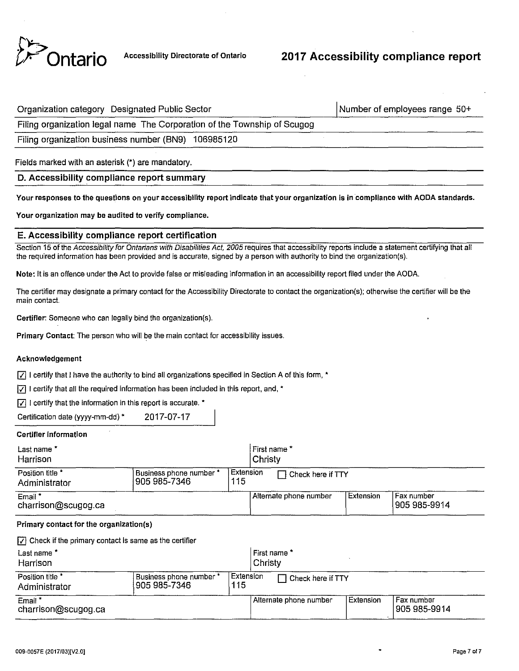

| Organization category Designated Public Sector                           | Number of employees range $50+$ |
|--------------------------------------------------------------------------|---------------------------------|
| Filing organization legal name The Corporation of the Township of Scugog |                                 |

Filing organization business number (BN9) 106985120

Fields marked with an asterisk (\*) are mandatory.

## D. Accessibility compliance report summary

**Your responses to the questions on your accessibility report indicate that your organization is in compliance with AODA standards.** 

Your organization may be audited to verify compliance.

### E. Accessibility compliance report certification

Section 15 of the Accessibility for Ontarians with Disabilities Act, 2005 requires that accessibility reports include a statement certifying that all the required information has been provided and is accurate, signed by a person with authority to bind the organization(s).

Note: it is an offence under the Act to provide false or misleading information in an accessibility report filed under the AODA.

The certifier may designate a primary contact for the Accessibility Directorate to contact the organization(s); otherwise the certifier will be the **main contact.** 

Certifier: Someone who can legally bind the organization(s).

Primary Contact: The person who will be the main contact for accessibility issues.

#### Acknowledgement

 $|\nabla|$  I certify that I have the authority to bind all organizations specified in Section A of this form, \*

 $|\overline{y}|$  I certify that all the required information has been included in this report, and,  $^*$ 

 $|\nabla|$  I certify that the information in this report is accurate.  $*$ 

Certification date (yyyy-mm-dd) • 2017-07-17

#### Certifier information

| Last name *                               |                         |     | First name *           |           |                               |  |
|-------------------------------------------|-------------------------|-----|------------------------|-----------|-------------------------------|--|
| Harrison                                  |                         |     | <b>Christy</b>         |           |                               |  |
| Position title                            | Business phone number * | 115 | l Extension            |           |                               |  |
| Administrator                             | 905 985-7346            |     | Check here if TTY      |           |                               |  |
| Email <sup>*</sup><br>charrison@scugog.ca |                         |     | Alternate phone number | Extension | l Fax number<br> 905 985-9914 |  |

#### Primary contact for the organizatlon(s)

 $|\nabla|$  Check if the primary contact is same as the certifier

| Last name *<br>Harrison                                                              |  |  | l First name *<br>l Christv      |                        |             |                               |
|--------------------------------------------------------------------------------------|--|--|----------------------------------|------------------------|-------------|-------------------------------|
| Position title *<br>Business phone number *<br>115<br>1905 985-7346<br>Administrator |  |  | l Extension<br>Check here if TTY |                        |             |                               |
| Email *<br>charrison@scugog.ca                                                       |  |  |                                  | Alternate phone number | l Extension | l Fax number<br> 905 985-9914 |